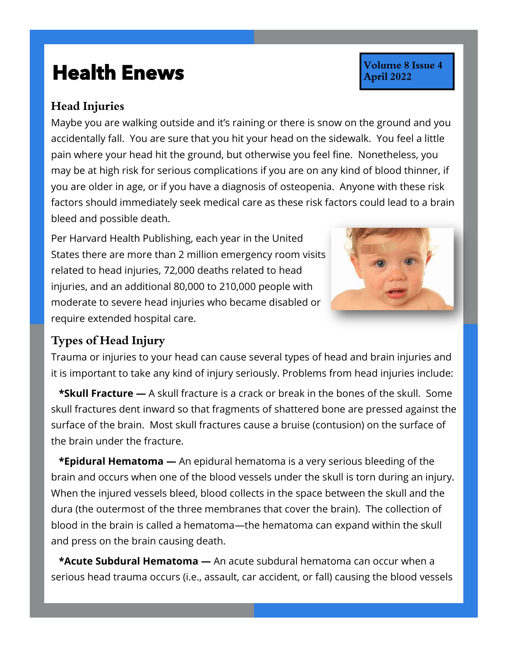## **Health Enews Health Enews**

## **Head Injuries**

Maybe you are walking outside and it's raining or there is snow on the ground and you accidentally fall. You are sure that you hit your head on the sidewalk. You feel a little pain where your head hit the ground, but otherwise you feel fine. Nonetheless, you may be at high risk for serious complications if you are on any kind of blood thinner, if you are older in age, or if you have a diagnosis of osteopenia. Anyone with these risk factors should immediately seek medical care as these risk factors could lead to a brain bleed and possible death.

Per Harvard Health Publishing, each year in the United States there are more than 2 million emergency room visits related to head injuries, 72,000 deaths related to head injuries, and an additional 80,000 to 210,000 people with moderate to severe head injuries who became disabled or require extended hospital care.



Volume 8 Issue 4

**April 2022** 

## **Types of Head Injury**

Trauma or injuries to your head can cause several types of head and brain injuries and it is important to take any kind of injury seriously. Problems from head injuries include:

 **\*Skull Fracture —** A skull fracture is a crack or break in the bones of the skull. Some skull fractures dent inward so that fragments of shattered bone are pressed against the surface of the brain. Most skull fractures cause a bruise (contusion) on the surface of the brain under the fracture.

 **\*Epidural Hematoma —** An epidural hematoma is a very serious bleeding of the brain and occurs when one of the blood vessels under the skull is torn during an injury. When the injured vessels bleed, blood collects in the space between the skull and the dura (the outermost of the three membranes that cover the brain). The collection of blood in the brain is called a hematoma—the hematoma can expand within the skull and press on the brain causing death.

 **\*Acute Subdural Hematoma —** An acute subdural hematoma can occur when a serious head trauma occurs (i.e., assault, car accident, or fall) causing the blood vessels